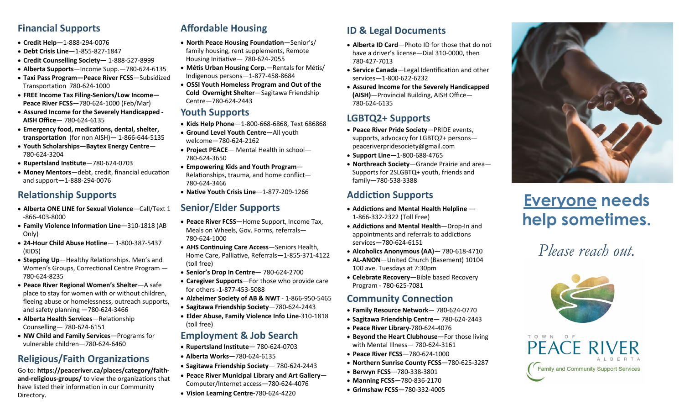### **Financial Supports**

- **Credit Help**—1-888-294-0076
- **Debt Crisis Line**—1-855-827-1847
- **Credit Counselling Society** 1-888-527-8999
- **Alberta Supports**—Income Supp.—780-624-6135
- **Taxi Pass Program—Peace River FCSS**—Subsidized Transportation 780-624-1000
- **FREE Income Tax Filing-Seniors/Low Income— Peace River FCSS**—780-624-1000 (Feb/Mar)
- **Assured Income for the Severely Handicapped - AISH Office**— 780-624-6135
- **Emergency food, medications, dental, shelter, transportation** (for non AISH)— 1-866-644-5135
- **Youth Scholarships—Baytex Energy Centre** 780-624-3204
- **Rupertsland Institute**—780-624-0703
- **Money Mentors**—debt, credit, financial education and support—1-888-294-0076

## **Relationship Supports**

- **Alberta ONE LINE for Sexual Violence**—Call/Text 1 -866-403-8000
- **Family Violence Information Line**—310-1818 (AB Only)
- **24-Hour Child Abuse Hotline** 1-800-387-5437 (KIDS)
- **Stepping Up**—Healthy Relationships. Men's and Women's Groups, Correctional Centre Program — 780-624-8235
- **Peace River Regional Women's Shelter**—A safe place to stay for women with or without children, fleeing abuse or homelessness, outreach supports, and safety planning —780-624-3466
- **Alberta Health Services**—Relationship Counselling— 780-624-6151
- **NW Child and Family Services**—Programs for vulnerable children—780-624-6460

## **Religious/Faith Organizations**

Go to: **https://peaceriver.ca/places/category/faithand-religious-groups/** to view the organizations that have listed their information in our Community Directory.

# **Affordable Housing**

- **North Peace Housing Foundation**—Senior's/ family housing, rent supplements, Remote Housing Initiative— 780-624-2055
- **Métis Urban Housing Corp.**—Rentals for Métis/ Indigenous persons—1-877-458-8684
- **OSSI Youth Homeless Program and Out of the Cold Overnight Shelter**—Sagitawa Friendship Centre—780-624-2443

### **Youth Supports**

- **Kids Help Phone**—1-800-668-6868, Text 686868
- **Ground Level Youth Centre**—All youth welcome—780-624-2162
- **Project PEACE** Mental Health in school— 780-624-3650
- **Empowering Kids and Youth Program** Relationships, trauma, and home conflict— 780-624-3466
- **Native Youth Crisis Line**—1-877-209-1266

### **Senior/Elder Supports**

- **Peace River FCSS**—Home Support, Income Tax, Meals on Wheels, Gov. Forms, referrals— 780-624-1000
- **AHS Continuing Care Access**—Seniors Health, Home Care, Palliative, Referrals—1-855-371-4122 (toll free)
- **Senior's Drop In Centre** 780-624-2700
- **Caregiver Supports**—For those who provide care for others -1-877-453-5088
- **Alzheimer Society of AB & NWT**  1-866-950-5465
- **Sagitawa Friendship Society**—780-624-2443
- **Elder Abuse, Family Violence Info Line**-310-1818 (toll free)

### **Employment & Job Search**

- **Rupertsland Institute** 780-624-0703
- **Alberta Works**—780-624-6135
- **Sagitawa Friendship Society** 780-624-2443
- **Peace River Municipal Library and Art Gallery** Computer/Internet access—780-624-4076
- **Vision Learning Centre-**780-624-4220

## **ID & Legal Documents**

- **Alberta ID Card**—Photo ID for those that do not have a driver's license—Dial 310-0000, then 780-427-7013
- **Service Canada**—Legal Identification and other services—1-800-622-6232
- **Assured Income for the Severely Handicapped (AISH)**—Provincial Building, AISH Office— 780-624-6135

## **LGBTQ2+ Supports**

- **Peace River Pride Society**—PRIDE events, supports, advocacy for LGBTQ2+ persons peaceriverpridesociety@gmail.com
- **Support Line**—1-800-688-4765
- **Northreach Society**—Grande Prairie and area— Supports for 2SLGBTQ+ youth, friends and family—780-538-3388

### **Addiction Supports**

- **Addictions and Mental Health Helpline**  1-866-332-2322 (Toll Free)
- **Addictions and Mental Health**—Drop-In and appointments and referrals to addictions services—780-624-6151
- **Alcoholics Anonymous (AA)** 780-618-4710
- **AL-ANON**—United Church (Basement) 10104 100 ave. Tuesdays at 7:30pm
- **Celebrate Recovery**—Bible based Recovery Program - 780-625-7081

### **Community Connection**

- **Family Resource Network** 780-624-0770
- **Sagitawa Friendship Centre** 780-624-2443
- **Peace River Library**-780-624-4076
- **Beyond the Heart Clubhouse**—For those living with Mental Illness— 780-624-3161
- **Peace River FCSS**—780-624-1000
- **Northern Sunrise County FCSS**—780-625-3287
- **Berwyn FCSS**—780-338-3801
- **Manning FCSS**—780-836-2170
- **Grimshaw FCSS**—780-332-4005



# **Everyone needs help sometimes.**

# *Please reach out.*